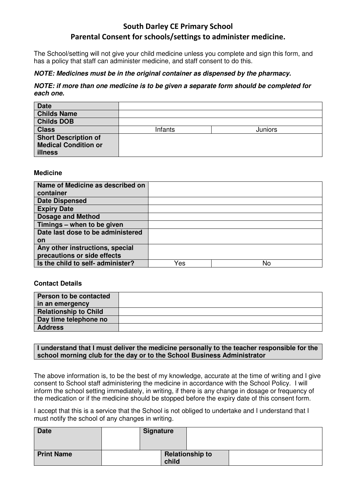# South Darley CE Primary School Parental Consent for schools/settings to administer medicine.

The School/setting will not give your child medicine unless you complete and sign this form, and has a policy that staff can administer medicine, and staff consent to do this.

## **NOTE: Medicines must be in the original container as dispensed by the pharmacy.**

## **NOTE: if more than one medicine is to be given a separate form should be completed for each one.**

| <b>Date</b>                 |         |         |
|-----------------------------|---------|---------|
| <b>Childs Name</b>          |         |         |
| <b>Childs DOB</b>           |         |         |
| <b>Class</b>                | Infants | Juniors |
| <b>Short Description of</b> |         |         |
| <b>Medical Condition or</b> |         |         |
| <b>illness</b>              |         |         |

### **Medicine**

| Name of Medicine as described on  |     |    |
|-----------------------------------|-----|----|
| container                         |     |    |
| <b>Date Dispensed</b>             |     |    |
| <b>Expiry Date</b>                |     |    |
| <b>Dosage and Method</b>          |     |    |
| Timings - when to be given        |     |    |
| Date last dose to be administered |     |    |
| <b>on</b>                         |     |    |
| Any other instructions, special   |     |    |
| precautions or side effects       |     |    |
| Is the child to self- administer? | Yes | No |

#### **Contact Details**

| Person to be contacted       |  |
|------------------------------|--|
| in an emergency              |  |
| <b>Relationship to Child</b> |  |
| Day time telephone no        |  |
| <b>Address</b>               |  |

### **I understand that I must deliver the medicine personally to the teacher responsible for the school morning club for the day or to the School Business Administrator**

The above information is, to be the best of my knowledge, accurate at the time of writing and I give consent to School staff administering the medicine in accordance with the School Policy. I will inform the school setting immediately, in writing, if there is any change in dosage or frequency of the medication or if the medicine should be stopped before the expiry date of this consent form.

I accept that this is a service that the School is not obliged to undertake and I understand that I must notify the school of any changes in writing.

| <b>Date</b>       | <b>Signature</b> |                        |  |
|-------------------|------------------|------------------------|--|
| <b>Print Name</b> | child            | <b>Relationship to</b> |  |